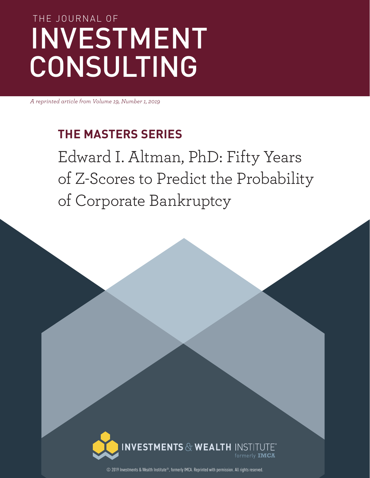# THE JOURNAL OF INVESTMENT CONSULTING

*A reprinted article from Volume 19, Number 1, 2019*

### **THE MASTERS SERIES**

Edward I. Altman, PhD: Fifty Years of Z-Scores to Predict the Probability of Corporate Bankruptcy



© 2019 Investments & Wealth Institute®, formerly IMCA. Reprinted with permission. All rights reserved.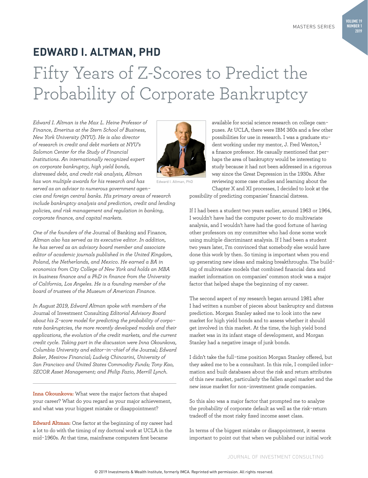## **EDWARD I. ALTMAN, PHD** Fifty Years of Z-Scores to Predict the Probability of Corporate Bankruptcy

*Edward I. Altman is the Max L. Heine Professor of Finance, Emeritus at the Stern School of Business, New York University (NYU). He is also director of research in credit and debt markets at NYU's Salomon Center for the Study of Financial Institutions. An internationally recognized expert on corporate bankruptcy, high yield bonds, distressed debt, and credit risk analysis, Altman has won multiple awards for his research and has served as an advisor to numerous government agen-*

*cies and foreign central banks. His primary areas of research include bankruptcy analysis and prediction, credit and lending policies, and risk management and regulation in banking, corporate finance, and capital markets.* 

*One of the founders of the* Journal of Banking and Finance*, Altman also has served as its executive editor. In addition, he has served as an advisory board member and associate editor of academic journals published in the United Kingdom, Poland, the Netherlands, and Mexico. He earned a BA in economics from City College of New York and holds an MBA in business finance and a PhD in finance from the University of California, Los Angeles. He is a founding member of the board of trustees of the Museum of American Finance.* 

*In August 2019, Edward Altman spoke with members of the*  Journal of Investment Consulting *Editorial Advisory Board about his Z-score model for predicting the probability of corporate bankruptcies, the more recently developed models and their applications, the evolution of the credit markets, and the current credit cycle. Taking part in the discussion were Inna Okounkova, Columbia University and editor-in-chief of the* Journal*; Edward Baker, Mesirow Financial; Ludwig Chincarini, University of San Francisco and United States Commodity Funds; Tony Kao, SECOR Asset Management; and Philip Fazio, Merrill Lynch.* 

**Inna Okounkova:** What were the major factors that shaped your career? What do you regard as your major achievement, and what was your biggest mistake or disappointment?

**Edward Altman:** One factor at the beginning of my career had a lot to do with the timing of my doctoral work at UCLA in the mid-1960s. At that time, mainframe computers first became

available for social science research on college campuses. At UCLA, there were IBM 360s and a few other possibilities for use in research. I was a graduate student working under my mentor, J. Fred Weston,<sup>1</sup> a finance professor. He casually mentioned that perhaps the area of bankruptcy would be interesting to study because it had not been addressed in a rigorous way since the Great Depression in the 1930s. After reviewing some case studies and learning about the Chapter X and XI processes, I decided to look at the

possibility of predicting companies' financial distress.

If I had been a student two years earlier, around 1963 or 1964, I wouldn't have had the computer power to do multivariate analysis, and I wouldn't have had the good fortune of having other professors on my committee who had done some work using multiple discriminant analysis. If I had been a student two years later, I'm convinced that somebody else would have done this work by then. So timing is important when you end up generating new ideas and making breakthroughs. The building of multivariate models that combined financial data and market information on companies' common stock was a major factor that helped shape the beginning of my career.

The second aspect of my research began around 1981 after I had written a number of pieces about bankruptcy and distress prediction. Morgan Stanley asked me to look into the new market for high yield bonds and to assess whether it should get involved in this market. At the time, the high yield bond market was in its infant stage of development, and Morgan Stanley had a negative image of junk bonds.

I didn't take the full-time position Morgan Stanley offered, but they asked me to be a consultant. In this role, I compiled information and built databases about the risk and return attributes of this new market, particularly the fallen angel market and the new issue market for non-investment grade companies.

So this also was a major factor that prompted me to analyze the probability of corporate default as well as the risk-return tradeoff of the most risky fixed income asset class.

In terms of the biggest mistake or disappointment, it seems important to point out that when we published our initial work



**2019**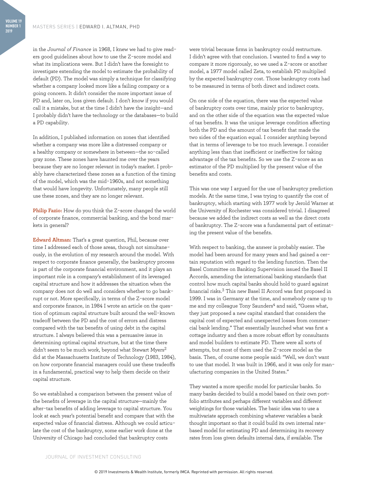in the *Journal of Finance* in 1968, I knew we had to give readers good guidelines about how to use the Z-score model and what its implications were. But I didn't have the foresight to investigate extending the model to estimate the probability of default (PD). The model was simply a technique for classifying whether a company looked more like a failing company or a going concern. It didn't consider the more important issue of PD and, later on, loss given default. I don't know if you would call it a mistake, but at the time I didn't have the insight—and I probably didn't have the technology or the databases—to build a PD capability.

In addition, I published information on zones that identified whether a company was more like a distressed company or a healthy company or somewhere in between—the so-called gray zone. These zones have haunted me over the years because they are no longer relevant in today's market. I prob– ably have characterized these zones as a function of the timing of the model, which was the mid-1960s, and not something that would have longevity. Unfortunately, many people still use these zones, and they are no longer relevant.

**Philip Fazio:** How do you think the Z-score changed the world of corporate finance, commercial banking, and the bond markets in general?

**Edward Altman:** That's a great question, Phil, because over time I addressed each of those areas, though not simultaneously, in the evolution of my research around the model. With respect to corporate finance generally, the bankruptcy process is part of the corporate financial environment, and it plays an important role in a company's establishment of its leveraged capital structure and how it addresses the situation when the company does not do well and considers whether to go bankrupt or not. More specifically, in terms of the Z-score model and corporate finance, in 1984 I wrote an article on the question of optimum capital structure built around the well-known tradeoff between the PD and the cost of errors and distress compared with the tax benefits of using debt in the capital structure. I always believed this was a persuasive issue in determining optimal capital structure, but at the time there didn't seem to be much work, beyond what Stewart Myers<sup>2</sup> did at the Massachusetts Institute of Technology (1983, 1984), on how corporate financial managers could use these tradeoffs in a fundamental, practical way to help them decide on their capital structure.

So we established a comparison between the present value of the benefits of leverage in the capital structure—mainly the after-tax benefits of adding leverage to capital structure. You look at each year's potential benefit and compare that with the expected value of financial distress. Although we could articulate the cost of the bankruptcy, some earlier work done at the University of Chicago had concluded that bankruptcy costs

were trivial because firms in bankruptcy could restructure. I didn't agree with that conclusion. I wanted to find a way to compare it more rigorously, so we used a Z-score or another model, a 1977 model called Zeta, to establish PD multiplied by the expected bankruptcy cost. Those bankruptcy costs had to be measured in terms of both direct and indirect costs.

On one side of the equation, there was the expected value of bankruptcy costs over time, mainly prior to bankruptcy, and on the other side of the equation was the expected value of tax benefits. It was the unique leverage condition affecting both the PD and the amount of tax benefit that made the two sides of the equation equal. I consider anything beyond that in terms of leverage to be too much leverage. I consider anything less than that inefficient or ineffective for taking advantage of the tax benefits. So we use the Z-score as an estimator of the PD multiplied by the present value of the benefits and costs.

This was one way I argued for the use of bankruptcy prediction models. At the same time, I was trying to quantify the cost of bankruptcy, which starting with 1977 work by Jerold Warner at the University of Rochester was considered trivial. I disagreed because we added the indirect costs as well as the direct costs of bankruptcy. The Z-score was a fundamental part of estimating the present value of the benefits.

With respect to banking, the answer is probably easier. The model had been around for many years and had gained a certain reputation with regard to the lending function. Then the Basel Committee on Banking Supervision issued the Basel II Accords, amending the international banking standards that control how much capital banks should hold to guard against financial risks.3 This new Basel II Accord was first proposed in 1999. I was in Germany at the time, and somebody came up to me and my colleague Tony Saunders<sup>4</sup> and said, "Guess what, they just proposed a new capital standard that considers the capital cost of expected and unexpected losses from commercial bank lending." That essentially launched what was first a cottage industry and then a more robust effort by consultants and model builders to estimate PD. There were all sorts of attempts, but most of them used the Z-score model as the basis. Then, of course some people said: "Well, we don't want to use that model. It was built in 1966, and it was only for manufacturing companies in the United States."

They wanted a more specific model for particular banks. So many banks decided to build a model based on their own port– folio attributes and perhaps different variables and different weightings for those variables. The basic idea was to use a multivariate approach combining whatever variables a bank thought important so that it could build its own internal ratebased model for estimating PD and determining its recovery rates from loss given defaults internal data, if available. The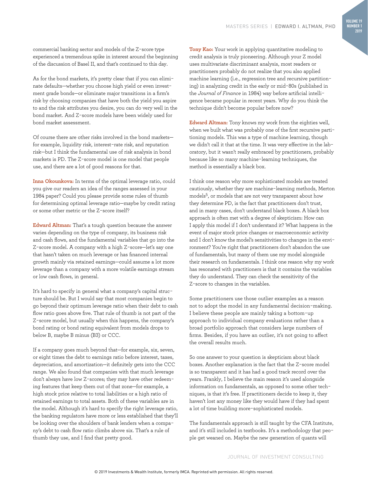commercial banking sector and models of the Z-score type experienced a tremendous spike in interest around the beginning of the discussion of Basel II, and that's continued to this day.

As for the bond markets, it's pretty clear that if you can eliminate defaults—whether you choose high yield or even investment grade bonds—or eliminate major transitions in a firm's risk by choosing companies that have both the yield you aspire to and the risk attributes you desire, you can do very well in the bond market. And Z-score models have been widely used for bond market assessment.

Of course there are other risks involved in the bond markets for example, liquidity risk, interest-rate risk, and reputation risk—but I think the fundamental use of risk analysis in bond markets is PD. The Z-score model is one model that people use, and there are a lot of good reasons for that.

**Inna Okounkova:** In terms of the optimal leverage ratio, could you give our readers an idea of the ranges assessed in your 1984 paper? Could you please provide some rules of thumb for determining optimal leverage ratio—maybe by credit rating or some other metric or the Z-score itself?

**Edward Altman:** That's a tough question because the answer varies depending on the type of company, its business risk and cash flows, and the fundamental variables that go into the Z-score model. A company with a high Z-score—let's say one that hasn't taken on much leverage or has financed internal growth mainly via retained earnings—could assume a lot more leverage than a company with a more volatile earnings stream or low cash flows, in general.

It's hard to specify in general what a company's capital structure should be. But I would say that most companies begin to go beyond their optimum leverage ratio when their debt to cash flow ratio goes above five. That rule of thumb is not part of the Z-score model, but usually when this happens, the company's bond rating or bond rating equivalent from models drops to below B, maybe B minus (B3) or CCC.

If a company goes much beyond that—for example, six, seven, or eight times the debt to earnings ratio before interest, taxes, depreciation, and amortization—it definitely gets into the CCC range. We also found that companies with that much leverage don't always have low Z-scores; they may have other redeeming features that keep them out of that zone—for example, a high stock price relative to total liabilities or a high ratio of retained earnings to total assets. Both of these variables are in the model. Although it's hard to specify the right leverage ratio, the banking regulators have more or less established that they'll be looking over the shoulders of bank lenders when a company's debt to cash flow ratio climbs above six. That's a rule of thumb they use, and I find that pretty good.

**Tony Kao:** Your work in applying quantitative modeling to credit analysis is truly pioneering. Although your Z model uses multivariate discriminant analysis, most readers or practitioners probably do not realize that you also applied machine learning (i.e., regression tree and recursive partitioning) in analyzing credit in the early or mid-80s (published in the *Journal of Finance* in 1984) way before artificial intelligence became popular in recent years. Why do you think the technique didn't become popular before now?

**Edward Altman:** Tony knows my work from the eighties well, when we built what was probably one of the first recursive partitioning models. This was a type of machine learning, though we didn't call it that at the time. It was very effective in the laboratory, but it wasn't really embraced by practitioners, probably because like so many machine-learning techniques, the method is essentially a black box.

I think one reason why more sophisticated models are treated cautiously, whether they are machine-learning methods, Merton models5, or models that are not very transparent about how they determine PD, is the fact that practitioners don't trust, and in many cases, don't understand black boxes. A black box approach is often met with a degree of skepticism: How can I apply this model if I don't understand it? What happens in the event of major stock price changes or macroeconomic activity and I don't know the model's sensitivities to changes in the environment? You're right that practitioners don't abandon the use of fundamentals, but many of them use my model alongside their research on fundamentals. I think one reason why my work has resonated with practitioners is that it contains the variables they do understand. They can check the sensitivity of the Z-score to changes in the variables.

Some practitioners use those outlier examples as a reason not to adopt the model in any fundamental decision-making. I believe these people are mainly taking a bottom-up approach to individual company evaluations rather than a broad portfolio approach that considers large numbers of firms. Besides, if you have an outlier, it's not going to affect the overall results much.

So one answer to your question is skepticism about black boxes. Another explanation is the fact that the Z-score model is so transparent and it has had a good track record over the years. Frankly, I believe the main reason it's used alongside information on fundamentals, as opposed to some other techniques, is that it's free. If practitioners decide to keep it, they haven't lost any money like they would have if they had spent a lot of time building more-sophisticated models.

The fundamentals approach is still taught by the CFA Institute, and it's still included in textbooks. It's a methodology that people get weaned on. Maybe the new generation of quants will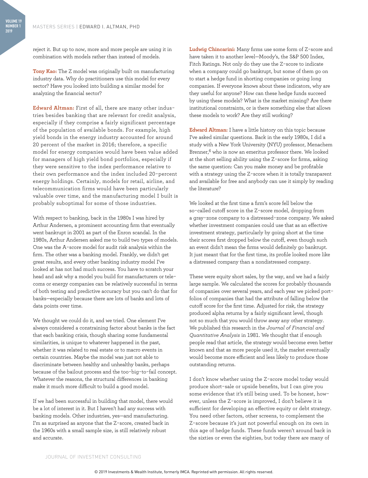reject it. But up to now, more and more people are using it in combination with models rather than instead of models.

**Tony Kao:** The Z model was originally built on manufacturing industry data. Why do practitioners use this model for every sector? Have you looked into building a similar model for analyzing the financial sector?

**Edward Altman:** First of all, there are many other industries besides banking that are relevant for credit analysis, especially if they comprise a fairly significant percentage of the population of available bonds. For example, high yield bonds in the energy industry accounted for around 20 percent of the market in 2016; therefore, a specific model for energy companies would have been value added for managers of high yield bond portfolios, especially if they were sensitive to the index performance relative to their own performance and the index included 20-percent energy holdings. Certainly, models for retail, airline, and telecommunication firms would have been particularly valuable over time, and the manufacturing model I built is probably suboptimal for some of those industries.

With respect to banking, back in the 1980s I was hired by Arthur Andersen, a prominent accounting firm that eventually went bankrupt in 2001 as part of the Enron scandal. In the 1980s, Arthur Andersen asked me to build two types of models. One was the A-score model for audit risk analysis within the firm. The other was a banking model. Frankly, we didn't get great results, and every other banking industry model I've looked at has not had much success. You have to scratch your head and ask why a model you build for manufacturers or telecoms or energy companies can be relatively successful in terms of both testing and predictive accuracy but you can't do that for banks—especially because there are lots of banks and lots of data points over time.

We thought we could do it, and we tried. One element I've always considered a constraining factor about banks is the fact that each banking crisis, though sharing some fundamental similarities, is unique to whatever happened in the past, whether it was related to real estate or to macro events in certain countries. Maybe the model was just not able to discriminate between healthy and unhealthy banks, perhaps because of the bailout process and the too-big-to-fail concept. Whatever the reasons, the structural differences in banking make it much more difficult to build a good model.

If we had been successful in building that model, there would be a lot of interest in it. But I haven't had any success with banking models. Other industries, yes—and manufacturing. I'm as surprised as anyone that the Z-score, created back in the 1960s with a small sample size, is still relatively robust and accurate.

**Ludwig Chincarini:** Many firms use some form of Z-score and have taken it to another level—Moody's, the S&P 500 Index, Fitch Ratings. Not only do they use the Z-score to indicate when a company could go bankrupt, but some of them go on to start a hedge fund in shorting companies or going long companies. If everyone knows about these indicators, why are they useful for anyone? How can these hedge funds succeed by using these models? What is the market missing? Are there institutional constraints, or is there something else that allows these models to work? Are they still working?

**Edward Altman:** I have a little history on this topic because I've asked similar questions. Back in the early 1980s, I did a study with a New York University (NYU) professor, Menachem Brenner,<sup>6</sup> who is now an emeritus professor there. We looked at the short selling ability using the Z-score for firms, asking the same question: Can you make money and be profitable with a strategy using the Z-score when it is totally transparent and available for free and anybody can use it simply by reading the literature?

We looked at the first time a firm's score fell below the so-called cutoff score in the Z-score model, dropping from a gray-zone company to a distressed-zone company. We asked whether investment companies could use that as an effective investment strategy, particularly by going short at the time their scores first dropped below the cutoff, even though such an event didn't mean the firms would definitely go bankrupt. It just meant that for the first time, its profile looked more like a distressed company than a nondistressed company.

These were equity short sales, by the way, and we had a fairly large sample. We calculated the scores for probably thousands of companies over several years, and each year we picked portfolios of companies that had the attribute of falling below the cutoff score for the first time. Adjusted for risk, the strategy produced alpha returns by a fairly significant level, though not so much that you would throw away any other strategy. We published this research in the *Journal of Financial and Quantitative Analysis* in 1981. We thought that if enough people read that article, the strategy would become even better known and that as more people used it, the market eventually would become more efficient and less likely to produce those outstanding returns.

I don't know whether using the Z-score model today would produce short-sale or upside benefits, but I can give you some evidence that it's still being used. To be honest, however, unless the Z-score is improved, I don't believe it is sufficient for developing an effective equity or debt strategy. You need other factors, other screens, to complement the Z-score because it's just not powerful enough on its own in this age of hedge funds. These funds weren't around back in the sixties or even the eighties, but today there are many of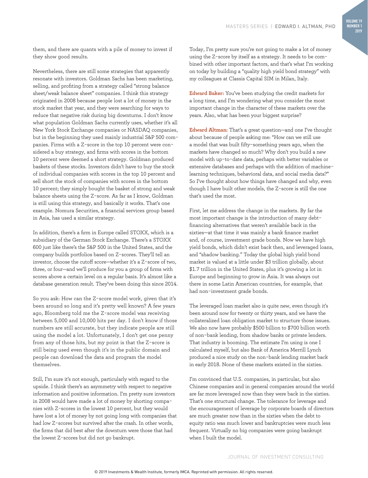them, and there are quants with a pile of money to invest if they show good results.

Nevertheless, there are still some strategies that apparently resonate with investors. Goldman Sachs has been marketing, selling, and profiting from a strategy called "strong balance sheet/weak balance sheet" companies. I think this strategy originated in 2008 because people lost a lot of money in the stock market that year, and they were searching for ways to reduce that negative risk during big downturns. I don't know what population Goldman Sachs currently uses, whether it's all New York Stock Exchange companies or NASDAQ companies, but in the beginning they used mainly industrial S&P 500 companies. Firms with a Z-score in the top 10 percent were considered a buy strategy, and firms with scores in the bottom 10 percent were deemed a short strategy. Goldman produced baskets of these stocks. Investors didn't have to buy the stock of individual companies with scores in the top 10 percent and sell short the stock of companies with scores in the bottom 10 percent; they simply bought the basket of strong and weak balance sheets using the Z-score. As far as I know, Goldman is still using this strategy, and basically it works. That's one example. Nomura Securities, a financial services group based in Asia, has used a similar strategy.

In addition, there's a firm in Europe called STOXX, which is a subsidiary of the German Stock Exchange. There's a STOXX 600 just like there's the S&P 500 in the United States, and the company builds portfolios based on Z-scores. They'll tell an investor, choose the cutoff score—whether it's a Z-score of two, three, or four—and we'll produce for you a group of firms with scores above a certain level on a regular basis. It's almost like a database generation result. They've been doing this since 2014.

So you ask: How can the Z-score model work, given that it's been around so long and it's pretty well known? A few years ago, Bloomberg told me the Z-score model was receiving between 5,000 and 10,000 hits per day. I don't know if those numbers are still accurate, but they indicate people are still using the model a lot. Unfortunately, I don't get one penny from any of those hits, but my point is that the Z-score is still being used even though it's in the public domain and people can download the data and program the model themselves.

Still, I'm sure it's not enough, particularly with regard to the upside. I think there's an asymmetry with respect to negative information and positive information. I'm pretty sure investors in 2008 would have made a lot of money by shorting companies with Z-scores in the lowest 10 percent, but they would have lost a lot of money by not going long with companies that had low Z-scores but survived after the crash. In other words, the firms that did best after the downturn were those that had the lowest Z-scores but did not go bankrupt.

Today, I'm pretty sure you're not going to make a lot of money using the Z-score by itself as a strategy. It needs to be combined with other important factors, and that's what I'm working on today by building a "quality high yield bond strategy" with my colleagues at Classis Capital SIM in Milan, Italy.

**Edward Baker:** You've been studying the credit markets for a long time, and I'm wondering what you consider the most important change in the character of these markets over the years. Also, what has been your biggest surprise?

**Edward Altman:** That's a great question—and one I've thought about because of people asking me: "How can we still use a model that was built fifty-something years ago, when the markets have changed so much? Why don't you build a new model with up-to-date data, perhaps with better variables or extensive databases and perhaps with the addition of machinelearning techniques, behavioral data, and social media data?" So I've thought about how things have changed and why, even though I have built other models, the Z-score is still the one that's used the most.

First, let me address the change in the markets. By far the most important change is the introduction of many debtfinancing alternatives that weren't available back in the sixties—at that time it was mainly a bank finance market and, of course, investment grade bonds. Now we have high yield bonds, which didn't exist back then, and leveraged loans, and "shadow banking." Today the global high yield bond market is valued at a little under \$3 trillion globally, about \$1.7 trillion in the United States, plus it's growing a lot in Europe and beginning to grow in Asia. It was always out there in some Latin American countries, for example, that had non-investment grade bonds.

The leveraged loan market also is quite new, even though it's been around now for twenty or thirty years, and we have the collateralized loan obligation market to structure those issues. We also now have probably \$500 billion to \$700 billion worth of non-bank lending, from shadow banks or private lenders. That industry is booming. The estimate I'm using is one I calculated myself, but also Bank of America Merrill Lynch produced a nice study on the non-bank lending market back in early 2018. None of these markets existed in the sixties.

I'm convinced that U.S. companies, in particular, but also Chinese companies and in general companies around the world are far more leveraged now than they were back in the sixties. That's one structural change. The tolerance for leverage and the encouragement of leverage by corporate boards of directors are much greater now than in the sixties when the debt to equity ratio was much lower and bankruptcies were much less frequent. Virtually no big companies were going bankrupt when I built the model.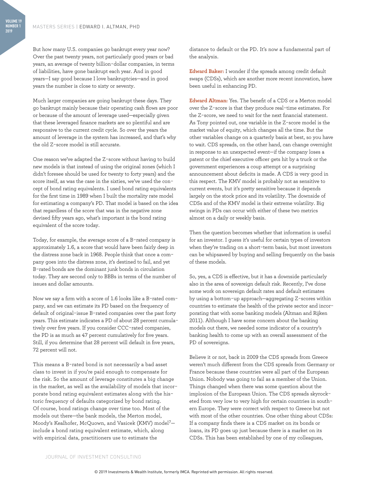**VOLUME 19 NUMBER 1 2019**

> But how many U.S. companies go bankrupt every year now? Over the past twenty years, not particularly good years or bad years, an average of twenty billion-dollar companies, in terms of liabilities, have gone bankrupt each year. And in good years—I say good because I love bankruptcies—and in good years the number is close to sixty or seventy.

Much larger companies are going bankrupt these days. They go bankrupt mainly because their operating cash flows are poor or because of the amount of leverage used—especially given that these leveraged finance markets are so plentiful and are responsive to the current credit cycle. So over the years the amount of leverage in the system has increased, and that's why the old Z-score model is still accurate.

One reason we've adapted the Z-score without having to build new models is that instead of using the original zones (which I didn't foresee should be used for twenty to forty years) and the score itself, as was the case in the sixties, we've used the concept of bond rating equivalents. I used bond rating equivalents for the first time in 1989 when I built the mortality rate model for estimating a company's PD. That model is based on the idea that regardless of the score that was in the negative zone devised fifty years ago, what's important is the bond rating equivalent of the score today.

Today, for example, the average score of a B-rated company is approximately 1.6, a score that would have been fairly deep in the distress zone back in 1968. People think that once a company goes into the distress zone, it's destined to fail, and yet B-rated bonds are the dominant junk bonds in circulation today. They are second only to BBBs in terms of the number of issues and dollar amounts.

Now we say a firm with a score of 1.6 looks like a B-rated company, and we can estimate its PD based on the frequency of default of original-issue B-rated companies over the past forty years. This estimate indicates a PD of about 28 percent cumulatively over five years. If you consider CCC-rated companies, the PD is as much as 47 percent cumulatively for five years. Still, if you determine that 28 percent will default in five years, 72 percent will not.

This means a B-rated bond is not necessarily a bad asset class to invest in if you're paid enough to compensate for the risk. So the amount of leverage constitutes a big change in the market, as well as the availability of models that incorporate bond rating equivalent estimates along with the historic frequency of defaults categorized by bond rating. Of course, bond ratings change over time too. Most of the models out there—the bank models, the Merton model, Moody's Kealhofer, McQuown, and Vasicek (KMV) model7 include a bond rating equivalent estimate, which, along with empirical data, practitioners use to estimate the

distance to default or the PD. It's now a fundamental part of the analysis.

**Edward Baker:** I wonder if the spreads among credit default swaps (CDSs), which are another more recent innovation, have been useful in enhancing PD.

**Edward Altman:** Yes. The benefit of a CDS or a Merton model over the Z-score is that they produce real-time estimates. For the Z-score, we need to wait for the next financial statement. As Tony pointed out, one variable in the Z-score model is the market value of equity, which changes all the time. But the other variables change on a quarterly basis at best, so you have to wait. CDS spreads, on the other hand, can change overnight in response to an unexpected event—if the company loses a patent or the chief executive officer gets hit by a truck or the government experiences a coup attempt or a surprising announcement about deficits is made. A CDS is very good in this respect. The KMV model is probably not as sensitive to current events, but it's pretty sensitive because it depends largely on the stock price and its volatility. The downside of CDSs and of the KMV model is their extreme volatility. Big swings in PDs can occur with either of these two metrics almost on a daily or weekly basis.

Then the question becomes whether that information is useful for an investor. I guess it's useful for certain types of investors when they're trading on a short-term basis, but most investors can be whipsawed by buying and selling frequently on the basis of these models.

So, yes, a CDS is effective, but it has a downside particularly also in the area of sovereign default risk. Recently, I've done some work on sovereign default rates and default estimates by using a bottom-up approach—aggregating Z-scores within countries to estimate the health of the private sector and incorporating that with some banking models (Altman and Rijken 2011). Although I have some concern about the banking models out there, we needed some indicator of a country's banking health to come up with an overall assessment of the PD of sovereigns.

Believe it or not, back in 2009 the CDS spreads from Greece weren't much different from the CDS spreads from Germany or France because these countries were all part of the European Union. Nobody was going to fail as a member of the Union. Things changed when there was some question about the implosion of the European Union. The CDS spreads skyrocketed from very low to very high for certain countries in southern Europe. They were correct with respect to Greece but not with most of the other countries. One other thing about CDSs: If a company finds there is a CDS market on its bonds or loans, its PD goes up just because there is a market on its CDSs. This has been established by one of my colleagues,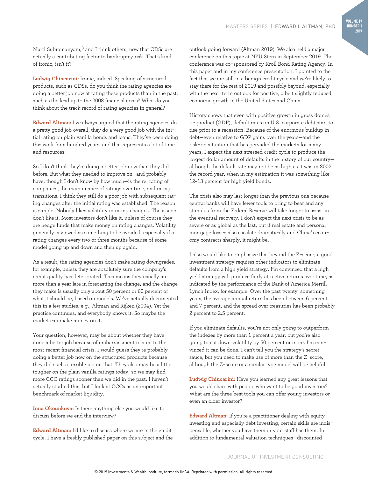Marti Subramanyam,8 and I think others, now that CDSs are actually a contributing factor to bankruptcy risk. That's kind of ironic, isn't it?

**Ludwig Chincarini:** Ironic, indeed. Speaking of structured products, such as CDSs, do you think the rating agencies are doing a better job now at rating these products than in the past, such as the lead up to the 2008 financial crisis? What do you think about the track record of rating agencies in general?

**Edward Altman:** I've always argued that the rating agencies do a pretty good job overall; they do a very good job with the initial rating on plain vanilla bonds and loans. They've been doing this work for a hundred years, and that represents a lot of time and resources.

So I don't think they're doing a better job now than they did before. But what they needed to improve on—and probably have, though I don't know by how much—is the re-rating of companies, the maintenance of ratings over time, and rating transitions. I think they still do a poor job with subsequent rating changes after the initial rating was established. The reason is simple. Nobody likes volatility in rating changes. The issuers don't like it. Most investors don't like it, unless of course they are hedge funds that make money on rating changes. Volatility generally is viewed as something to be avoided, especially if a rating changes every two or three months because of some model going up and down and then up again.

As a result, the rating agencies don't make rating downgrades, for example, unless they are absolutely sure the company's credit quality has deteriorated. This means they usually are more than a year late in forecasting the change, and the change they make is usually only about 50 percent or 60 percent of what it should be, based on models. We've actually documented this in a few studies, e.g., Altman and Rijken (2004). Yet the practice continues, and everybody knows it. So maybe the market can make money on it.

Your question, however, may be about whether they have done a better job because of embarrassment related to the most recent financial crisis. I would guess they're probably doing a better job now on the structured products because they did such a terrible job on that. They also may be a little tougher on the plain vanilla ratings today, so we may find more CCC ratings sooner than we did in the past. I haven't actually studied this, but I look at CCCs as an important benchmark of market liquidity.

**Inna Okounkova:** Is there anything else you would like to discuss before we end the interview?

**Edward Altman:** I'd like to discuss where we are in the credit cycle. I have a freshly published paper on this subject and the outlook going forward (Altman 2019). We also held a major conference on this topic at NYU Stern in September 2019. The conference was co-sponsored by Kroll Bond Rating Agency. In this paper and in my conference presentation, I pointed to the fact that we are still in a benign credit cycle and we're likely to stay there for the rest of 2019 and possibly beyond, especially with the near-term outlook for positive, albeit slightly reduced, economic growth in the United States and China.

History shows that even with positive growth in gross domestic product (GDP), default rates on U.S. corporate debt start to rise prior to a recession. Because of the enormous buildup in debt—even relative to GDP gains over the years—and the risk-on situation that has pervaded the markets for many years, I expect the next stressed credit cycle to produce the largest dollar amount of defaults in the history of our country although the default rate may not be as high as it was in 2002, the record year, when in my estimation it was something like 12–13 percent for high yield bonds.

The crisis also may last longer than the previous one because central banks will have fewer tools to bring to bear and any stimulus from the Federal Reserve will take longer to assist in the eventual recovery. I don't expect the next crisis to be as severe or as global as the last, but if real estate and personal mortgage losses also escalate dramatically and China's economy contracts sharply, it might be.

I also would like to emphasize that beyond the Z-score, a good investment strategy requires other indicators to eliminate defaults from a high yield strategy. I'm convinced that a high yield strategy will produce fairly attractive returns over time, as indicated by the performance of the Bank of America Merrill Lynch Index, for example. Over the past twenty-something years, the average annual return has been between 6 percent and 7 percent, and the spread over treasuries has been probably 2 percent to 2.5 percent.

If you eliminate defaults, you're not only going to outperform the indexes by more than 1 percent a year, but you're also going to cut down volatility by 50 percent or more. I'm convinced it can be done. I can't tell you the strategy's secret sauce, but you need to make use of more than the Z-score, although the Z-score or a similar type model will be helpful.

**Ludwig Chincarini:** Have you learned any great lessons that you would share with people who want to be good investors? What are the three best tools you can offer young investors or even an older investor?

**Edward Altman:** If you're a practitioner dealing with equity investing and especially debt investing, certain skills are indispensable, whether you have them or your staff has them. In addition to fundamental valuation techniques—discounted